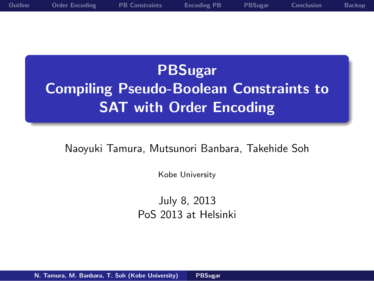**PBSugar Compiling Pseudo-Boolean Constraints to SAT with Order Encoding**

**Outline Order Encoding PB Constraints Encoding PB PBSugar Conclusion Backup**

Naoyuki Tamura, Mutsunori Banbara, Takehide Soh

Kobe University

July 8, 2013 PoS 2013 at Helsinki

.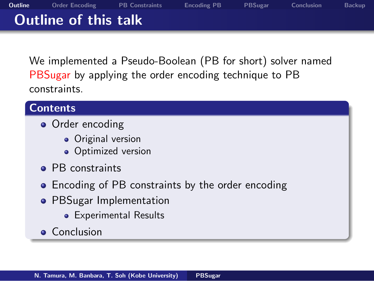### . **Outline of this talk**

We implemented a Pseudo-Boolean (PB for short) solver named PBSugar by applying the order encoding technique to PB constraints.

**Outline Order Encoding PB Constraints Encoding PB PBSugar Conclusion Backup**

# . **Contents** .

- Order encoding
	- **·** Original version
	- **·** Optimized version
- PB constraints
- Encoding of PB constraints by the order encoding
- PBSugar Implementation
	- **•** Experimental Results
- **•** Conclusion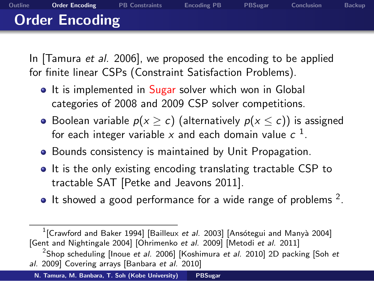### . **Order Encoding**

In [Tamura *et al.* 2006], we proposed the encoding to be applied for finite linear CSPs (Constraint Satisfaction Problems).

**Outline Order Encoding PB Constraints Encoding PB PBSugar Conclusion Backup**

- It is implemented in Sugar solver which won in Global categories of 2008 and 2009 CSP solver competitions.
- Boolean variable  $p(x ≥ c)$  (alternatively  $p(x ≤ c)$ ) is assigned for each integer variable  $x$  and each domain value  $c^{-1}$ .
- **•** Bounds consistency is maintained by Unit Propagation.
- It is the only existing encoding translating tractable CSP to tractable SAT [Petke and Jeavons 2011].
- It showed a good performance for a wide range of problems  $2$ .

**N. Tamura, M. Banbara, T. Soh (Kobe University) PBSugar**

<sup>&</sup>lt;sup>1</sup> [Crawford and Baker 1994] [Bailleux *et al.* 2003] [Ansótegui and Manyà 2004] [Gent and Nightingale 2004] [Ohrimenko *et al.* 2009] [Metodi *et al.* 2011]

<sup>2</sup> Shop scheduling [Inoue *et al.* 2006] [Koshimura *et al.* 2010] 2D packing [Soh *et al.* 2009] Covering arrays [Banbara *et al.* 2010]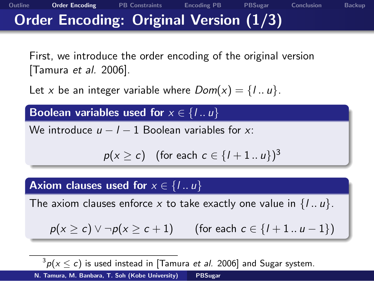### . **Order Encoding: Original Version (1/3)**

First, we introduce the order encoding of the original version [Tamura *et al.* 2006].

**Outline Order Encoding PB Constraints Encoding PB PBSugar Conclusion Backup**

Let *x* be an integer variable where  $Dom(x) = \{1..u\}$ .

#### . Boolean variables used for  $x \in \{1..u\}$ .

We introduce *u − l −* 1 Boolean variables for *x*:

 $p(x \ge c)$  (for each  $c \in \{l+1..u\}^3$ 

#### . Axiom clauses used for  $x \in \{I..u\}$

The axiom clauses enforce *x* to take exactly one value in  $\{l \ldots u\}$ .

*p*(*x ≥ c*) *∨ ¬p*(*x ≥ c* + 1) (for each *c ∈ {l* + 1 *.. u −* 1*}*)

 $3p(x \le c)$  is used instead in [Tamura *et al.* 2006] and Sugar system. **N. Tamura, M. Banbara, T. Soh (Kobe University) PBSugar**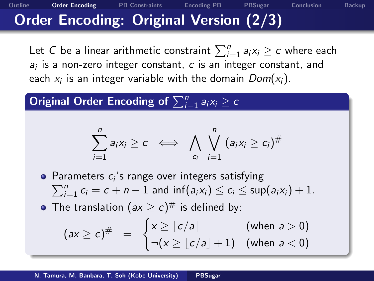### . **Order Encoding: Original Version (2/3)**

Let  $C$  be a linear arithmetic constraint  $\sum_{i=1}^n a_i x_i \geq c$  where each *ai* is a non-zero integer constant, *c* is an integer constant, and each *x<sup>i</sup>* is an integer variable with the domain *Dom*(*xi*).

**Outline Order Encoding PB Constraints Encoding PB PBSugar Conclusion Backup**

 $\textbf{Original Order Encoding of } \sum_{i=1}^{n} a_i x_i \geq c$ 

$$
\sum_{i=1}^n a_i x_i \geq c \iff \bigwedge_{c_i} \bigvee_{i=1}^n (a_i x_i \geq c_i)^{\#}
$$

Parameters *c<sup>i</sup>*

- ∑ rameters  $c_i$ 's range over integers satisfying<br> $\sum_{i=1}^n c_i = c + n - 1$  and  $\inf(a_i x_i) \le c_i \le \sup(a_i x_i) + 1$ .
- The translation  $(ax \geq c)^\#$  is defined by:

$$
(ax \ge c)^{\#} = \begin{cases} x \ge \lceil c/a \rceil & \text{(when } a > 0) \\ \neg(x \ge \lfloor c/a \rfloor + 1) & \text{(when } a < 0) \end{cases}
$$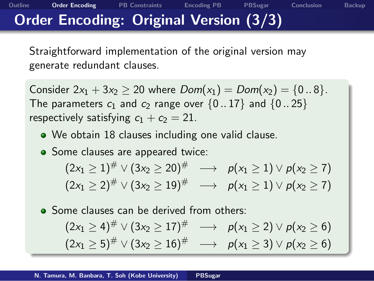### . **Order Encoding: Original Version (3/3)**

Straightforward implementation of the original version may generate redundant clauses.

 $Consider 2x_1 + 3x_2 \ge 20$  where  $Dom(x_1) = Dom(x_2) = \{0..8\}.$ The parameters  $c_1$  and  $c_2$  range over  $\{0..17\}$  and  $\{0..25\}$ respectively satisfying  $c_1 + c_2 = 21$ .

**Outline Order Encoding PB Constraints Encoding PB PBSugar Conclusion Backup**

- We obtain 18 clauses including one valid clause.
- Some clauses are appeared twice:

 $(2x_1 \geq 1)^\# \vee (3x_2 \geq 20)^\# \quad \longrightarrow \quad p(x_1 \geq 1) \vee p(x_2 \geq 7)$  $(2x_1 \geq 2)^{\#} \vee (3x_2 \geq 19)^{\#} \quad \longrightarrow \quad p(x_1 \geq 1) \vee p(x_2 \geq 7)$ 

• Some clauses can be derived from others:

$$
(2x_1 \ge 4)^{\#} \vee (3x_2 \ge 17)^{\#} \longrightarrow p(x_1 \ge 2) \vee p(x_2 \ge 6)
$$
  

$$
(2x_1 \ge 5)^{\#} \vee (3x_2 \ge 16)^{\#} \longrightarrow p(x_1 \ge 3) \vee p(x_2 \ge 6)
$$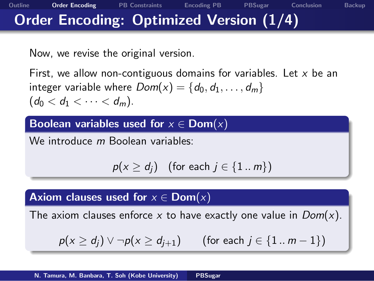### . **Order Encoding: Optimized Version (1/4)**

Now, we revise the original version.

First, we allow non-contiguous domains for variables. Let *x* be an integer variable where  $Dom(x) = \{d_0, d_1, \ldots, d_m\}$  $(d_0 < d_1 < \cdots < d_m)$ .

**Outline Order Encoding PB Constraints Encoding PB PBSugar Conclusion Backup**

#### . **Boolean variables used for** *x ∈* **Dom**(*x*) .

We introduce *m* Boolean variables:

*p*(*x* ≥ *d<sub>j</sub>*) (for each *j* ∈ {1 *.. m*})

#### . **Axiom clauses used for** *x ∈* **Dom**(*x*) .

The axiom clauses enforce *x* to have exactly one value in *Dom*(*x*).

*p*(*x ≥ dj*) *∨ ¬p*(*x ≥ dj*+1) (for each *j ∈ {*1 *.. m −* 1*}*)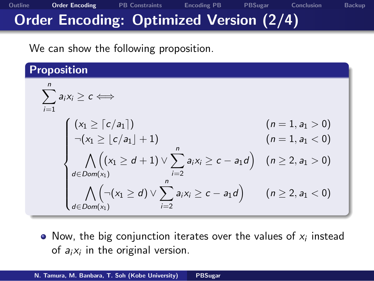# . **Order Encoding: Optimized Version (2/4)**

We can show the following proposition.

| Proposition                                                                                                                                                                                                                                                                                                                                                                             |                          |
|-----------------------------------------------------------------------------------------------------------------------------------------------------------------------------------------------------------------------------------------------------------------------------------------------------------------------------------------------------------------------------------------|--------------------------|
| \n $\sum_{i=1}^{n} a_i x_i \geq c \iff$ \n                                                                                                                                                                                                                                                                                                                                              | \n $(n = 1, a_1 > 0)$ \n |
| \n $\begin{cases}\n (x_1 \geq \lceil c/a_1 \rceil) & (n = 1, a_1 > 0) \\ \neg (x_1 \geq \lfloor c/a_1 \rfloor + 1) & (n = 1, a_1 < 0) \\ \bigwedge_{d \in Dom(x_1)} ((x_1 \geq d + 1) \vee \sum_{i=2}^{n} a_i x_i \geq c - a_1 d) & (n \geq 2, a_1 > 0) \\ \bigwedge_{d \in Dom(x_1)} ((x_1 \geq d) \vee \sum_{i=2}^{n} a_i x_i \geq c - a_1 d) & (n \geq 2, a_1 < 0)\n \end{cases}$ \n |                          |

**Outline Order Encoding PB Constraints Encoding PB PBSugar Conclusion Backup**

Now, the big conjunction iterates over the values of *x<sup>i</sup>* instead of *a<sup>i</sup> x<sup>i</sup>* in the original version.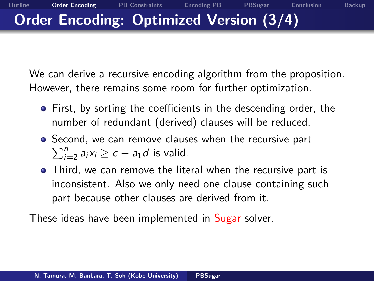#### **Outline Order Encoding PB Constraints Encoding PB PBSugar Conclusion Backup** . **Order Encoding: Optimized Version (3/4)**

We can derive a recursive encoding algorithm from the proposition. However, there remains some room for further optimization.

- First, by sorting the coefficients in the descending order, the number of redundant (derived) clauses will be reduced.
- Second, we can remove clauses when the recursive part  $\sum_{i=2}^{n} a_i x_i \ge c - a_1 d$  is valid.
- Third, we can remove the literal when the recursive part is inconsistent. Also we only need one clause containing such part because other clauses are derived from it.

These ideas have been implemented in Sugar solver.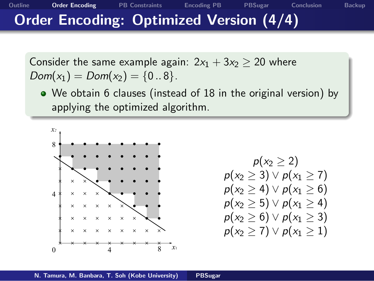### . **Order Encoding: Optimized Version (4/4)**

Consider the same example again:  $2x_1 + 3x_2 \ge 20$  where *Dom*( $x_1$ ) = *Dom*( $x_2$ ) = {0..8}.

We obtain 6 clauses (instead of 18 in the original version) by applying the optimized algorithm.

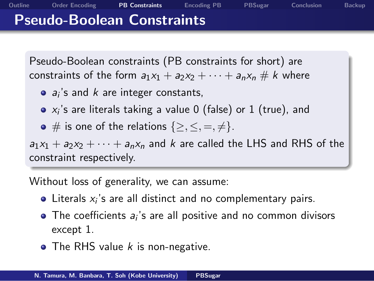#### **Pseudo-Boolean Constraints**

.

Pseudo-Boolean constraints (PB constraints for short) are constraints of the form  $a_1x_1 + a_2x_2 + \cdots + a_nx_n \# k$  where

**Outline Order Encoding PB Constraints Encoding PB PBSugar Conclusion Backup**

- *ai* 's and *k* are integer constants,
- *xi* 's are literals taking a value 0 (false) or 1 (true), and
- $\bullet \#$  is one of the relations  $\{\geq, \leq, =, \neq\}.$

. constraint respectively.  $a_1x_1 + a_2x_2 + \cdots + a_nx_n$  and *k* are called the LHS and RHS of the

Without loss of generality, we can assume:

- Literals *x<sup>i</sup>* 's are all distinct and no complementary pairs.
- The coefficients  $a_i$ 's are all positive and no common divisors except 1.
- The RHS value *k* is non-negative.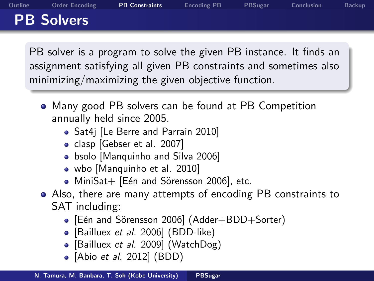### **PB Solvers**

.

. minimizing/maximizing the given objective function. PB solver is a program to solve the given PB instance. It finds an assignment satisfying all given PB constraints and sometimes also

- Many good PB solvers can be found at PB Competition annually held since 2005.
	- Sat4j [Le Berre and Parrain 2010]
	- clasp [Gebser et al. 2007]
	- bsolo [Manquinho and Silva 2006]
	- wbo [Manquinho et al. 2010]
	- $\bullet$  MiniSat+ [Eén and Sörensson 2006], etc.
- Also, there are many attempts of encoding PB constraints to SAT including:
	- [Eén and Sörensson 2006] (Adder+BDD+Sorter)
	- [Bailluex *et al.* 2006] (BDD-like)
	- [Bailluex *et al.* 2009] (WatchDog)
	- [Abio *et al.* 2012] (BDD)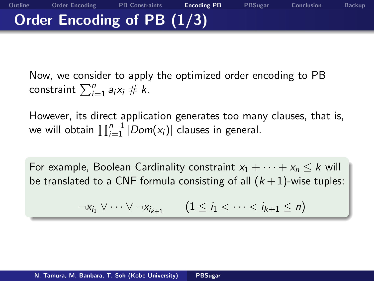## . **Order Encoding of PB (1/3)**

Now, we consider to apply the optimized order encoding to PB  $\sum_{i=1}^{n} a_i x_i \neq k$ .

However, its direct application generates too many clauses, that is, we will obtain ∏*n−*<sup>1</sup> *<sup>i</sup>*=1 *|Dom*(*xi*)*|* clauses in general.

**Outline Order Encoding PB Constraints Encoding PB PBSugar Conclusion Backup**

For example, Boolean Cardinality constraint  $x_1 + \cdots + x_n \leq k$  will be translated to a CNF formula consisting of all  $(k+1)$ -wise tuples:

 $\neg x_{i_1} \lor \cdots \lor \neg x_{i_{k+1}}$  (1 ≤ *i*<sub>1</sub> <  $\cdots$  < *i*<sub>k+1</sub> ≤ *n*)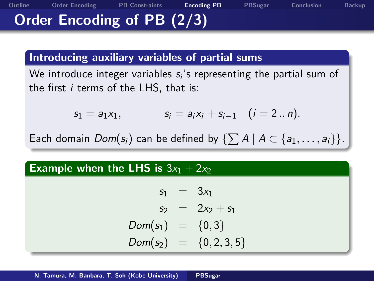### . **Order Encoding of PB (2/3)**

# . **Introducing auxiliary variables of partial sums** .

We introduce integer variables *s<sup>i</sup>* 's representing the partial sum of the first *i* terms of the LHS, that is:

**Outline Order Encoding PB Constraints Encoding PB PBSugar Conclusion Backup**

 $s_1 = a_1x_1,$   $s_i = a_ix_i + s_{i-1}$   $(i = 2..n).$ 

Each domain  $Dom(s_i)$  can be defined by  $\{\sum A \mid A \subset \{a_1, \ldots, a_i\}\}.$ 

# Example when the LHS is  $3x_1 + 2x_2$

 $s_1 = 3x_1$  $s_2 = 2x_2 + s_1$ *Dom*(*s*1) = *{*0*,* 3*} Dom*(*s*2) = *{*0*,* 2*,* 3*,* 5*}*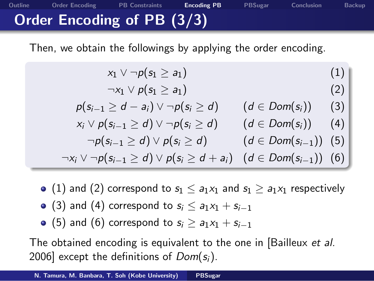## . **Order Encoding of PB (3/3)**

Then, we obtain the followings by applying the order encoding.

**Outline Order Encoding PB Constraints Encoding PB PBSugar Conclusion Backup**

$$
\begin{array}{ccc} \n\begin{array}{ccc}\n x_1 \vee \neg p(s_1 \geq a_1) & (1) \\
\neg x_1 \vee p(s_1 \geq a_1) & (2) \\
p(s_{i-1} \geq d - a_i) \vee \neg p(s_i \geq d) & (d \in Dom(s_i)) & (3) \\
x_i \vee p(s_{i-1} \geq d) \vee \neg p(s_i \geq d) & (d \in Dom(s_i)) & (4) \\
\neg p(s_{i-1} \geq d) \vee p(s_i \geq d) & (d \in Dom(s_{i-1})) & (5) \\
\neg x_i \vee \neg p(s_{i-1} \geq d) \vee p(s_i \geq d + a_i) & (d \in Dom(s_{i-1})) & (6)\n\end{array}\n\end{array}
$$

- $\bullet$  (1) and (2) correspond to  $s_1 \leq a_1x_1$  and  $s_1 \geq a_1x_1$  respectively
- $\bullet$  (3) and (4) correspond to  $s_i \leq a_1x_1 + s_{i-1}$
- $\bullet$  (5) and (6) correspond to  $s_i \ge a_1x_1 + s_{i-1}$

The obtained encoding is equivalent to the one in [Bailleux *et al.* 2006] except the definitions of *Dom*(*si*).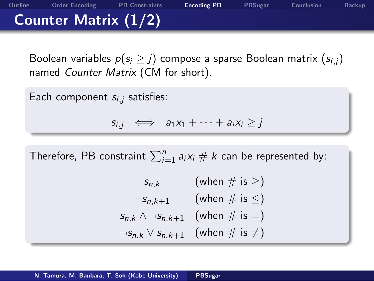### **Counter Matrix (1/2)**

.

Boolean variables  $p(s_i \geq j)$  compose a sparse Boolean matrix  $(s_{i,j})$ named *Counter Matrix* (CM for short).

**Outline Order Encoding PB Constraints Encoding PB PBSugar Conclusion Backup**

Each component *si,<sup>j</sup>* satisfies:

 $s_{i,j} \iff a_1x_1 + \cdots + a_ix_i \geq j$ 

Therefore, PB constraint  $\sum_{i=1}^{n}a_{i}x_{i}\#k$  can be represented by:

*s*<sub>*n*</sub>*k* (when  $\#$  is  $\geq$ )  $\neg s_{n,k+1}$  (when # is  $\leq$ )  $s_{n,k} \wedge \neg s_{n,k+1}$  (when # is =)  $\neg s_{n,k} \vee s_{n,k+1}$  (when  $\#$  is  $\neq$ )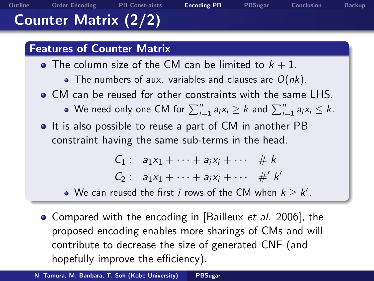### **Counter Matrix (2/2)**

.

# . **Features of Counter Matrix** .

- The column size of the CM can be limited to  $k + 1$ .
	- The numbers of aux. variables and clauses are *O*(*nk*).

**Outline Order Encoding PB Constraints Encoding PB PBSugar Conclusion Backup**

- CM can be reused for other constraints with the same LHS. We need only one CM for  $\sum_{i=1}^{n}a_{i}x_{i}\geq k$  and  $\sum_{i=1}^{n}a_{i}x_{i}\leq k$ .
- It is also possible to reuse a part of CM in another PB constraint having the same sub-terms in the head.

 $C_1$  :  $a_1x_1 + \cdots + a_ix_i + \cdots$  # k  $C_2$  :  $a_1x_1 + \cdots + a_ix_i + \cdots + k'$ 

- We can reused the first  $i$  rows of the CM when  $k \geq k'.$
- Compared with the encoding in [Bailleux *et al.* 2006], the proposed encoding enables more sharings of CMs and will contribute to decrease the size of generated CNF (and hopefully improve the efficiency).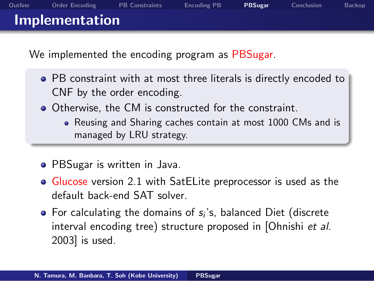#### **Implementation**

.

We implemented the encoding program as PBSugar.

PB constraint with at most three literals is directly encoded to CNF by the order encoding.

- Otherwise, the CM is constructed for the constraint.
	- Reusing and Sharing caches contain at most 1000 CMs and is managed by LRU strategy.
- PBSugar is written in Java.
- **Glucose** version 2.1 with SatELite preprocessor is used as the default back-end SAT solver.
- For calculating the domains of s<sub>i</sub>'s, balanced Diet (discrete interval encoding tree) structure proposed in [Ohnishi *et al.* 2003] is used.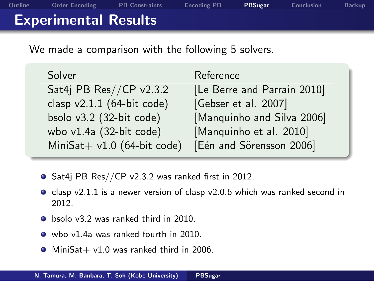### **Experimental Results**

.

We made a comparison with the following 5 solvers.

| Solver                        | Reference                   |
|-------------------------------|-----------------------------|
| Sat4j PB Res//CP v2.3.2       | [Le Berre and Parrain 2010] |
| clasp $v2.1.1$ (64-bit code)  | [Gebser et al. 2007]        |
| bsolo v3.2 (32-bit code)      | [Manquinho and Silva 2006]  |
| wbo $v1.4a$ (32-bit code)     | [Manquinho et al. 2010]     |
| MiniSat+ $v1.0$ (64-bit code) | [Eén and Sörensson 2006]    |

- Sat4j PB Res//CP v2.3.2 was ranked first in 2012.
- $\bullet$  clasp v2.1.1 is a newer version of clasp v2.0.6 which was ranked second in 2012.
- bsolo v3.2 was ranked third in 2010.
- wbo v1.4a was ranked fourth in 2010.
- $\bullet$  MiniSat+ v1.0 was ranked third in 2006.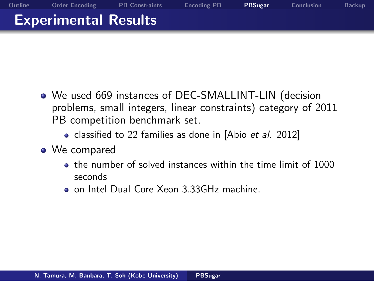### **Experimental Results**

.

We used 669 instances of DEC-SMALLINT-LIN (decision problems, small integers, linear constraints) category of 2011 PB competition benchmark set.

- classified to 22 families as done in [Abio *et al.* 2012]
- We compared
	- the number of solved instances within the time limit of 1000 seconds
	- on Intel Dual Core Xeon 3.33GHz machine.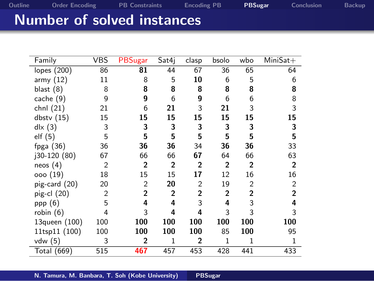# . **Number of solved instances** .

|                |                |                |                |                |                | $Minisat+$     |
|----------------|----------------|----------------|----------------|----------------|----------------|----------------|
| 86             | 81             | 44             | 67             | 36             | 65             | 64             |
| 11             | 8              | 5              | 10             | 6              | 5              | 6              |
| 8              | 8              | 8              | 8              | 8              | 8              | 8              |
| 9              | 9              | 6              | 9              | 6              | 6              | 8              |
| 21             | 6              | 21             | 3              | 21             | 3              | 3              |
| 15             | 15             | 15             | 15             | 15             | 15             | 15             |
| 3              | 3              | 3              | 3              | 3              | 3              | 3              |
| 5              | 5              | 5              | 5              | 5              | 5              | 5              |
| 36             | 36             | 36             | 34             | 36             | 36             | 33             |
| 67             | 66             | 66             | 67             | 64             | 66             | 63             |
| $\overline{2}$ | $\overline{2}$ | $\overline{2}$ | $\overline{2}$ | $\mathbf{2}$   | $\overline{2}$ | $\overline{2}$ |
| 18             | 15             | 15             | 17             | 12             | 16             | 16             |
| 20             | $\overline{2}$ | 20             | $\overline{2}$ | 19             | $\overline{2}$ | $\overline{2}$ |
| $\overline{2}$ | $\overline{2}$ | $\mathbf{2}$   | $\overline{2}$ | $\overline{2}$ | $\overline{2}$ | $\overline{2}$ |
| 5              | 4              | 4              | 3              | 4              | 3              | 4              |
| 4              | 3              | 4              | 4              | 3              | 3              | 3              |
| 100            | 100            | 100            | 100            | 100            | 100            | 100            |
| 100            | 100            | 100            | 100            | 85             | 100            | 95             |
| 3              | $\mathbf{2}$   | $\mathbf{1}$   | $\mathbf{2}$   | 1              | 1              | 1              |
| 515            | 467            | 457            | 453            | 428            | 441            | 433            |
|                | VBS            | PBSugar        | Sat4i          | clasp          | bsolo          | wbo            |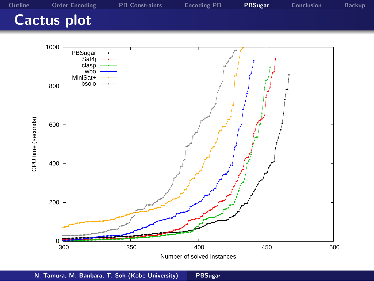### **Cactus plot**

.

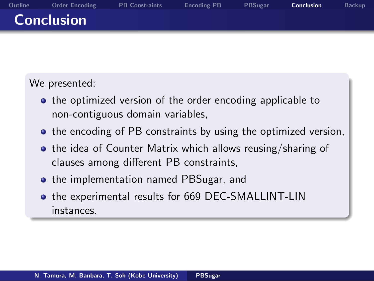#### **Conclusion**

.

We presented:

• the optimized version of the order encoding applicable to non-contiguous domain variables,

- $\bullet$  the encoding of PB constraints by using the optimized version,
- . the idea of Counter Matrix which allows reusing/sharing of clauses among different PB constraints,
- the implementation named PBSugar, and
- the experimental results for 669 DEC-SMALLINT-LIN instances.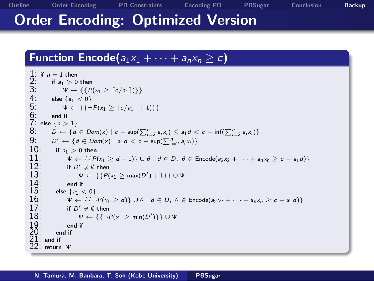### . **Order Encoding: Optimized Version**

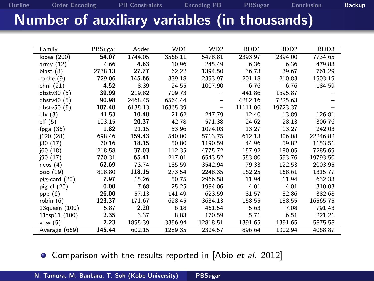# . **Number of auxiliary variables (in thousands)**

**Outline Order Encoding PB Constraints Encoding PB PBSugar Conclusion Backup**

| Family            | <b>PBSugar</b> | Adder   | WD1      | WD <sub>2</sub>          | BDD1     | BD <sub>D</sub> 2 | BDD <sub>3</sub> |
|-------------------|----------------|---------|----------|--------------------------|----------|-------------------|------------------|
| lopes (200)       | 54.07          | 1744.05 | 3566.11  | 5478.81                  | 2393.97  | 2394.00           | 7734.65          |
| army $(12)$       | 4.66           | 4.63    | 10.96    | 245.49                   | 6.36     | 6.36              | 479.83           |
| blast $(8)$       | 2738.13        | 27.77   | 62.22    | 1394.50                  | 36.73    | 39.67             | 761.29           |
| cache $(9)$       | 729.06         | 145.66  | 339.18   | 2393.97                  | 201.18   | 210.83            | 1503.19          |
| chnl (21)         | 4.52           | 8.39    | 24.55    | 1007.90                  | 6.76     | 6.76              | 184.59           |
| dbstv $30(5)$     | 39.99          | 219.82  | 709.73   |                          | 441.86   | 1695.87           |                  |
| dbstv40 (5)       | 90.98          | 2468.45 | 6564.44  |                          | 4282.16  | 7225.63           |                  |
| dbstv50(5)        | 187.40         | 6135.13 | 16365.39 | $\overline{\phantom{0}}$ | 11111.06 | 19723.37          |                  |
| $d\mathsf{k}$ (3) | 41.53          | 10.40   | 21.62    | 247.79                   | 12.40    | 13.89             | 126.81           |
| elf(5)            | 103.15         | 20.37   | 42.78    | 571.38                   | 24.62    | 28.13             | 306.76           |
| fpga $(36)$       | 1.82           | 21.15   | 53.96    | 1074.03                  | 13.27    | 13.27             | 242.03           |
| j120(28)          | 698.46         | 159.43  | 540.00   | 5713.75                  | 612.13   | 806.08            | 22246.82         |
| j30(17)           | 70.16          | 18.15   | 50.80    | 1190.59                  | 44.96    | 59.82             | 1153.51          |
| j60(18)           | 218.58         | 37.03   | 112.35   | 4775.72                  | 157.92   | 180.05            | 7285.69          |
| j90(17)           | 770.31         | 65.41   | 217.01   | 6543.52                  | 553.80   | 553.76            | 19793.50         |
| neos(4)           | 62.69          | 73.74   | 185.59   | 3542.94                  | 79.33    | 122.53            | 2003.95          |
| ooo (19)          | 818.80         | 118.15  | 273.54   | 2248.35                  | 162.25   | 168.61            | 1315.77          |
| pig-card (20)     | 7.97           | 15.26   | 50.75    | 2966.58                  | 11.94    | 11.94             | 632.33           |
| pig-cl $(20)$     | 0.00           | 7.68    | 25.25    | 1984.06                  | 4.01     | 4.01              | 310.03           |
| ppp $(6)$         | 26.00          | 57.13   | 141.49   | 623.59                   | 81.57    | 82.86             | 382.68           |
| robin $(6)$       | 123.37         | 171.67  | 628.45   | 3634.13                  | 158.55   | 158.55            | 16565.75         |
| 13queen (100)     | 5.87           | 2.20    | 6.18     | 461.54                   | 5.63     | 7.08              | 791.43           |
| 11tsp11 (100)     | 2.35           | 3.37    | 8.83     | 170.59                   | 5.71     | 6.51              | 221.21           |
| vdw $(5)$         | 2.23           | 1895.39 | 3356.94  | 12818.51                 | 1391.65  | 1391.65           | 5875.58          |
| Average (669)     | 145.44         | 602.15  | 1289.35  | 2324.57                  | 896.64   | 1002.94           | 4068.87          |

Comparison with the results reported in [Abio *et al.* 2012]